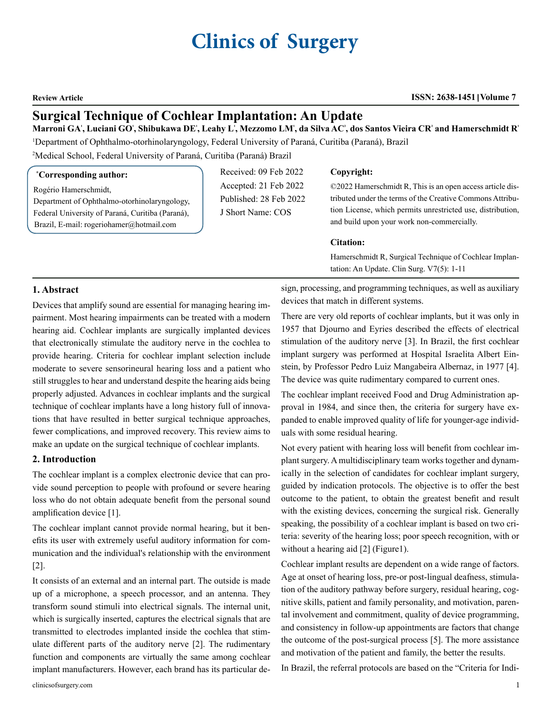# **Clinics of Surgery**

#### **Review Article ISSN: 2638-1451 Volume 7**

# **Surgical Technique of Cochlear Implantation: An Update**

#### Marroni GA', Luciani GO', Shibukawa DE', Leahy L', Mezzomo LM', da Silva AC', dos Santos Vieira CR' and Hamerschmidt R'

1 Department of Ophthalmo-otorhinolaryngology, Federal University of Paraná, Curitiba (Paraná), Brazil

2 Medical School, Federal University of Paraná, Curitiba (Paraná) Brazil

#### **\* Corresponding author:**

Rogério Hamerschmidt,

Department of Ophthalmo-otorhinolaryngology, Federal University of Paraná, Curitiba (Paraná), Brazil, E-mail: rogeriohamer@hotmail.com

Received: 09 Feb 2022 Accepted: 21 Feb 2022 Published: 28 Feb 2022 J Short Name: COS

#### **Copyright:**

©2022 Hamerschmidt R, This is an open access article distributed under the terms of the Creative Commons Attribution License, which permits unrestricted use, distribution, and build upon your work non-commercially.

#### **Citation:**

Hamerschmidt R, Surgical Technique of Cochlear Implantation: An Update. Clin Surg. V7(5): 1-11

### **1. Abstract**

Devices that amplify sound are essential for managing hearing impairment. Most hearing impairments can be treated with a modern hearing aid. Cochlear implants are surgically implanted devices that electronically stimulate the auditory nerve in the cochlea to provide hearing. Criteria for cochlear implant selection include moderate to severe sensorineural hearing loss and a patient who still struggles to hear and understand despite the hearing aids being properly adjusted. Advances in cochlear implants and the surgical technique of cochlear implants have a long history full of innovations that have resulted in better surgical technique approaches, fewer complications, and improved recovery. This review aims to make an update on the surgical technique of cochlear implants.

#### **2. Introduction**

The cochlear implant is a complex electronic device that can provide sound perception to people with profound or severe hearing loss who do not obtain adequate benefit from the personal sound amplification device [1].

The cochlear implant cannot provide normal hearing, but it benefits its user with extremely useful auditory information for communication and the individual's relationship with the environment [2].

It consists of an external and an internal part. The outside is made up of a microphone, a speech processor, and an antenna. They transform sound stimuli into electrical signals. The internal unit, which is surgically inserted, captures the electrical signals that are transmitted to electrodes implanted inside the cochlea that stimulate different parts of the auditory nerve [2]. The rudimentary function and components are virtually the same among cochlear implant manufacturers. However, each brand has its particular design, processing, and programming techniques, as well as auxiliary devices that match in different systems.

There are very old reports of cochlear implants, but it was only in 1957 that Djourno and Eyries described the effects of electrical stimulation of the auditory nerve [3]. In Brazil, the first cochlear implant surgery was performed at Hospital Israelita Albert Einstein, by Professor Pedro Luiz Mangabeira Albernaz, in 1977 [4]. The device was quite rudimentary compared to current ones.

The cochlear implant received Food and Drug Administration approval in 1984, and since then, the criteria for surgery have expanded to enable improved quality of life for younger-age individuals with some residual hearing.

Not every patient with hearing loss will benefit from cochlear implant surgery. A multidisciplinary team works together and dynamically in the selection of candidates for cochlear implant surgery, guided by indication protocols. The objective is to offer the best outcome to the patient, to obtain the greatest benefit and result with the existing devices, concerning the surgical risk. Generally speaking, the possibility of a cochlear implant is based on two criteria: severity of the hearing loss; poor speech recognition, with or without a hearing aid [2] (Figure1).

Cochlear implant results are dependent on a wide range of factors. Age at onset of hearing loss, pre-or post-lingual deafness, stimulation of the auditory pathway before surgery, residual hearing, cognitive skills, patient and family personality, and motivation, parental involvement and commitment, quality of device programming, and consistency in follow-up appointments are factors that change the outcome of the post-surgical process [5]. The more assistance and motivation of the patient and family, the better the results.

In Brazil, the referral protocols are based on the "Criteria for Indi-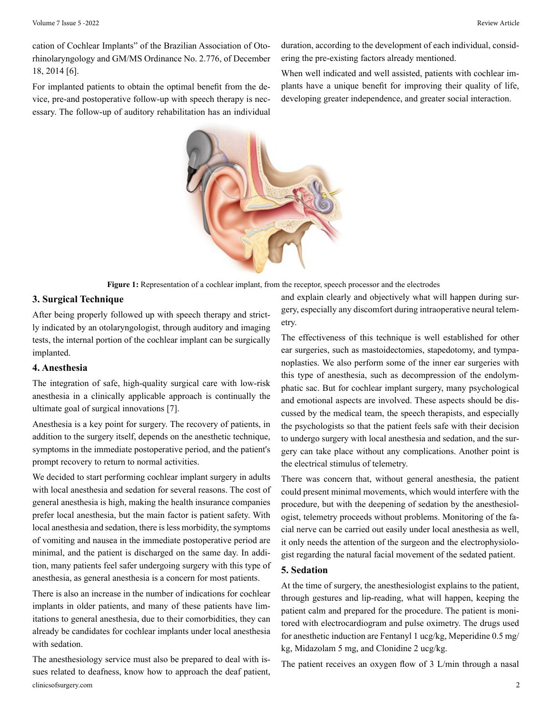cation of Cochlear Implants" of the Brazilian Association of Otorhinolaryngology and GM/MS Ordinance No. 2.776, of December 18, 2014 [6].

For implanted patients to obtain the optimal benefit from the device, pre-and postoperative follow-up with speech therapy is necessary. The follow-up of auditory rehabilitation has an individual duration, according to the development of each individual, considering the pre-existing factors already mentioned.

When well indicated and well assisted, patients with cochlear implants have a unique benefit for improving their quality of life, developing greater independence, and greater social interaction.



**Figure 1:** Representation of a cochlear implant, from the receptor, speech processor and the electrodes

#### **3. Surgical Technique**

After being properly followed up with speech therapy and strictly indicated by an otolaryngologist, through auditory and imaging tests, the internal portion of the cochlear implant can be surgically implanted.

#### **4. Anesthesia**

The integration of safe, high-quality surgical care with low-risk anesthesia in a clinically applicable approach is continually the ultimate goal of surgical innovations [7].

Anesthesia is a key point for surgery. The recovery of patients, in addition to the surgery itself, depends on the anesthetic technique, symptoms in the immediate postoperative period, and the patient's prompt recovery to return to normal activities.

We decided to start performing cochlear implant surgery in adults with local anesthesia and sedation for several reasons. The cost of general anesthesia is high, making the health insurance companies prefer local anesthesia, but the main factor is patient safety. With local anesthesia and sedation, there is less morbidity, the symptoms of vomiting and nausea in the immediate postoperative period are minimal, and the patient is discharged on the same day. In addition, many patients feel safer undergoing surgery with this type of anesthesia, as general anesthesia is a concern for most patients.

There is also an increase in the number of indications for cochlear implants in older patients, and many of these patients have limitations to general anesthesia, due to their comorbidities, they can already be candidates for cochlear implants under local anesthesia with sedation.

clinicsofsurgery.com 2 The anesthesiology service must also be prepared to deal with issues related to deafness, know how to approach the deaf patient,

and explain clearly and objectively what will happen during surgery, especially any discomfort during intraoperative neural telemetry.

The effectiveness of this technique is well established for other ear surgeries, such as mastoidectomies, stapedotomy, and tympanoplasties. We also perform some of the inner ear surgeries with this type of anesthesia, such as decompression of the endolymphatic sac. But for cochlear implant surgery, many psychological and emotional aspects are involved. These aspects should be discussed by the medical team, the speech therapists, and especially the psychologists so that the patient feels safe with their decision to undergo surgery with local anesthesia and sedation, and the surgery can take place without any complications. Another point is the electrical stimulus of telemetry.

There was concern that, without general anesthesia, the patient could present minimal movements, which would interfere with the procedure, but with the deepening of sedation by the anesthesiologist, telemetry proceeds without problems. Monitoring of the facial nerve can be carried out easily under local anesthesia as well, it only needs the attention of the surgeon and the electrophysiologist regarding the natural facial movement of the sedated patient.

# **5. Sedation**

At the time of surgery, the anesthesiologist explains to the patient, through gestures and lip-reading, what will happen, keeping the patient calm and prepared for the procedure. The patient is monitored with electrocardiogram and pulse oximetry. The drugs used for anesthetic induction are Fentanyl 1 ucg/kg, Meperidine 0.5 mg/ kg, Midazolam 5 mg, and Clonidine 2 ucg/kg.

The patient receives an oxygen flow of 3 L/min through a nasal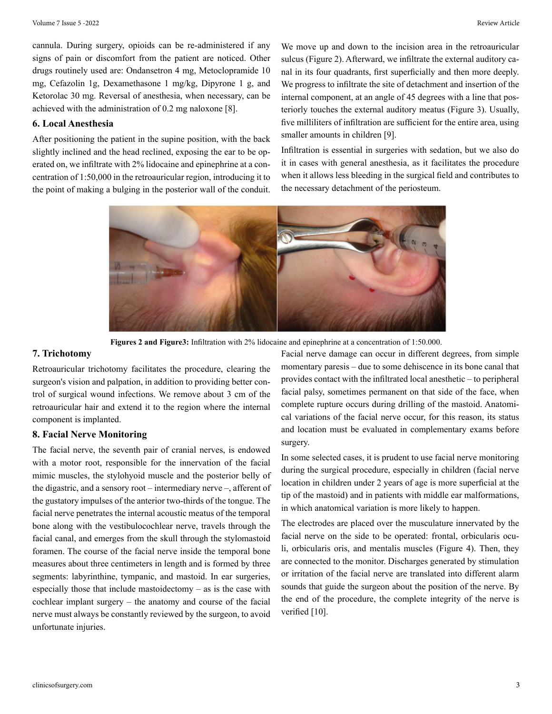cannula. During surgery, opioids can be re-administered if any signs of pain or discomfort from the patient are noticed. Other drugs routinely used are: Ondansetron 4 mg, Metoclopramide 10 mg, Cefazolin 1g, Dexamethasone 1 mg/kg, Dipyrone 1 g, and Ketorolac 30 mg. Reversal of anesthesia, when necessary, can be achieved with the administration of 0.2 mg naloxone [8].

#### **6. Local Anesthesia**

After positioning the patient in the supine position, with the back slightly inclined and the head reclined, exposing the ear to be operated on, we infiltrate with 2% lidocaine and epinephrine at a concentration of 1:50,000 in the retroauricular region, introducing it to the point of making a bulging in the posterior wall of the conduit. We move up and down to the incision area in the retroauricular sulcus (Figure 2). Afterward, we infiltrate the external auditory canal in its four quadrants, first superficially and then more deeply. We progress to infiltrate the site of detachment and insertion of the internal component, at an angle of 45 degrees with a line that posteriorly touches the external auditory meatus (Figure 3). Usually, five milliliters of infiltration are sufficient for the entire area, using smaller amounts in children [9].

Infiltration is essential in surgeries with sedation, but we also do it in cases with general anesthesia, as it facilitates the procedure when it allows less bleeding in the surgical field and contributes to the necessary detachment of the periosteum.



**Figures 2 and Figure3:** Infiltration with 2% lidocaine and epinephrine at a concentration of 1:50.000.

#### **7. Trichotomy**

Retroauricular trichotomy facilitates the procedure, clearing the surgeon's vision and palpation, in addition to providing better control of surgical wound infections. We remove about 3 cm of the retroauricular hair and extend it to the region where the internal component is implanted.

#### **8. Facial Nerve Monitoring**

The facial nerve, the seventh pair of cranial nerves, is endowed with a motor root, responsible for the innervation of the facial mimic muscles, the stylohyoid muscle and the posterior belly of the digastric, and a sensory root – intermediary nerve –, afferent of the gustatory impulses of the anterior two-thirds of the tongue. The facial nerve penetrates the internal acoustic meatus of the temporal bone along with the vestibulocochlear nerve, travels through the facial canal, and emerges from the skull through the stylomastoid foramen. The course of the facial nerve inside the temporal bone measures about three centimeters in length and is formed by three segments: labyrinthine, tympanic, and mastoid. In ear surgeries, especially those that include mastoidectomy – as is the case with cochlear implant surgery – the anatomy and course of the facial nerve must always be constantly reviewed by the surgeon, to avoid unfortunate injuries.

Facial nerve damage can occur in different degrees, from simple momentary paresis – due to some dehiscence in its bone canal that provides contact with the infiltrated local anesthetic – to peripheral facial palsy, sometimes permanent on that side of the face, when complete rupture occurs during drilling of the mastoid. Anatomical variations of the facial nerve occur, for this reason, its status and location must be evaluated in complementary exams before surgery.

In some selected cases, it is prudent to use facial nerve monitoring during the surgical procedure, especially in children (facial nerve location in children under 2 years of age is more superficial at the tip of the mastoid) and in patients with middle ear malformations, in which anatomical variation is more likely to happen.

The electrodes are placed over the musculature innervated by the facial nerve on the side to be operated: frontal, orbicularis oculi, orbicularis oris, and mentalis muscles (Figure 4). Then, they are connected to the monitor. Discharges generated by stimulation or irritation of the facial nerve are translated into different alarm sounds that guide the surgeon about the position of the nerve. By the end of the procedure, the complete integrity of the nerve is verified [10].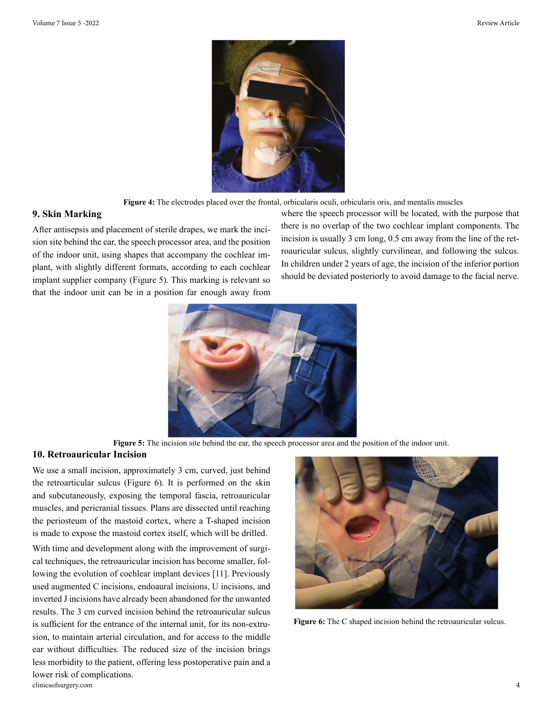

**Figure 4:** The electrodes placed over the frontal, orbicularis oculi, orbicularis oris, and mentalis muscles

#### **9. Skin Marking**

After antisepsis and placement of sterile drapes, we mark the incision site behind the ear, the speech processor area, and the position of the indoor unit, using shapes that accompany the cochlear implant, with slightly different formats, according to each cochlear implant supplier company (Figure 5). This marking is relevant so that the indoor unit can be in a position far enough away from where the speech processor will be located, with the purpose that there is no overlap of the two cochlear implant components. The incision is usually 3 cm long, 0.5 cm away from the line of the retroauricular sulcus, slightly curvilinear, and following the sulcus. In children under 2 years of age, the incision of the inferior portion should be deviated posteriorly to avoid damage to the facial nerve.



**Figure 5:** The incision site behind the ear, the speech processor area and the position of the indoor unit.

#### **10. Retroauricular Incision**

We use a small incision, approximately 3 cm, curved, just behind the retroarticular sulcus (Figure 6). It is performed on the skin and subcutaneously, exposing the temporal fascia, retroauricular muscles, and pericranial tissues. Plans are dissected until reaching the periosteum of the mastoid cortex, where a T-shaped incision is made to expose the mastoid cortex itself, which will be drilled.

clinicsofsurgery.com 4 With time and development along with the improvement of surgical techniques, the retroauricular incision has become smaller, following the evolution of cochlear implant devices [11]. Previously used augmented C incisions, endoaural incisions, U incisions, and inverted J incisions have already been abandoned for the unwanted results. The 3 cm curved incision behind the retroauricular sulcus is sufficient for the entrance of the internal unit, for its non-extrusion, to maintain arterial circulation, and for access to the middle ear without difficulties. The reduced size of the incision brings less morbidity to the patient, offering less postoperative pain and a lower risk of complications.



**Figure 6:** The C shaped incision behind the retroauricular sulcus.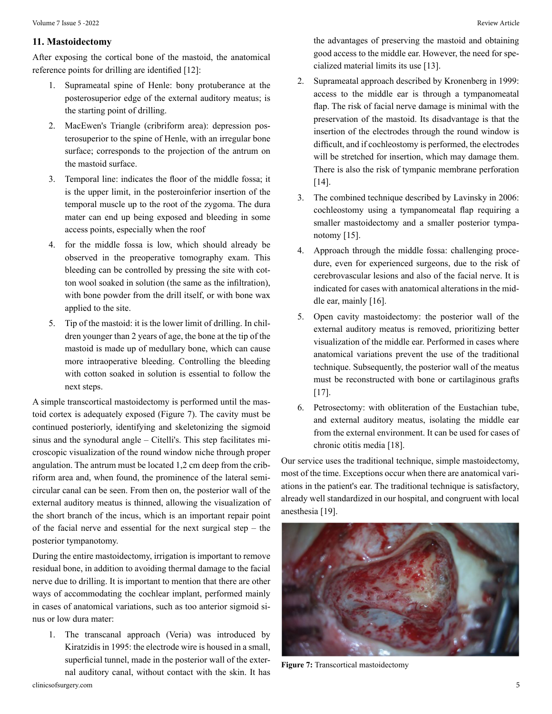#### **11. Mastoidectomy**

After exposing the cortical bone of the mastoid, the anatomical reference points for drilling are identified [12]:

- 1. Suprameatal spine of Henle: bony protuberance at the posterosuperior edge of the external auditory meatus; is the starting point of drilling.
- 2. MacEwen's Triangle (cribriform area): depression posterosuperior to the spine of Henle, with an irregular bone surface; corresponds to the projection of the antrum on the mastoid surface.
- 3. Temporal line: indicates the floor of the middle fossa; it is the upper limit, in the posteroinferior insertion of the temporal muscle up to the root of the zygoma. The dura mater can end up being exposed and bleeding in some access points, especially when the roof
- 4. for the middle fossa is low, which should already be observed in the preoperative tomography exam. This bleeding can be controlled by pressing the site with cotton wool soaked in solution (the same as the infiltration), with bone powder from the drill itself, or with bone wax applied to the site.
- 5. Tip of the mastoid: it is the lower limit of drilling. In children younger than 2 years of age, the bone at the tip of the mastoid is made up of medullary bone, which can cause more intraoperative bleeding. Controlling the bleeding with cotton soaked in solution is essential to follow the next steps.

A simple transcortical mastoidectomy is performed until the mastoid cortex is adequately exposed (Figure 7). The cavity must be continued posteriorly, identifying and skeletonizing the sigmoid sinus and the synodural angle – Citelli's. This step facilitates microscopic visualization of the round window niche through proper angulation. The antrum must be located 1,2 cm deep from the cribriform area and, when found, the prominence of the lateral semicircular canal can be seen. From then on, the posterior wall of the external auditory meatus is thinned, allowing the visualization of the short branch of the incus, which is an important repair point of the facial nerve and essential for the next surgical step – the posterior tympanotomy.

During the entire mastoidectomy, irrigation is important to remove residual bone, in addition to avoiding thermal damage to the facial nerve due to drilling. It is important to mention that there are other ways of accommodating the cochlear implant, performed mainly in cases of anatomical variations, such as too anterior sigmoid sinus or low dura mater:

1. The transcanal approach (Veria) was introduced by Kiratzidis in 1995: the electrode wire is housed in a small, superficial tunnel, made in the posterior wall of the external auditory canal, without contact with the skin. It has

the advantages of preserving the mastoid and obtaining good access to the middle ear. However, the need for specialized material limits its use [13].

- 2. Suprameatal approach described by Kronenberg in 1999: access to the middle ear is through a tympanomeatal flap. The risk of facial nerve damage is minimal with the preservation of the mastoid. Its disadvantage is that the insertion of the electrodes through the round window is difficult, and if cochleostomy is performed, the electrodes will be stretched for insertion, which may damage them. There is also the risk of tympanic membrane perforation [14].
- 3. The combined technique described by Lavinsky in 2006: cochleostomy using a tympanomeatal flap requiring a smaller mastoidectomy and a smaller posterior tympanotomy [15].
- 4. Approach through the middle fossa: challenging procedure, even for experienced surgeons, due to the risk of cerebrovascular lesions and also of the facial nerve. It is indicated for cases with anatomical alterations in the middle ear, mainly [16].
- 5. Open cavity mastoidectomy: the posterior wall of the external auditory meatus is removed, prioritizing better visualization of the middle ear. Performed in cases where anatomical variations prevent the use of the traditional technique. Subsequently, the posterior wall of the meatus must be reconstructed with bone or cartilaginous grafts [17].
- 6. Petrosectomy: with obliteration of the Eustachian tube, and external auditory meatus, isolating the middle ear from the external environment. It can be used for cases of chronic otitis media [18].

Our service uses the traditional technique, simple mastoidectomy, most of the time. Exceptions occur when there are anatomical variations in the patient's ear. The traditional technique is satisfactory, already well standardized in our hospital, and congruent with local anesthesia [19].



**Figure 7:** Transcortical mastoidectomy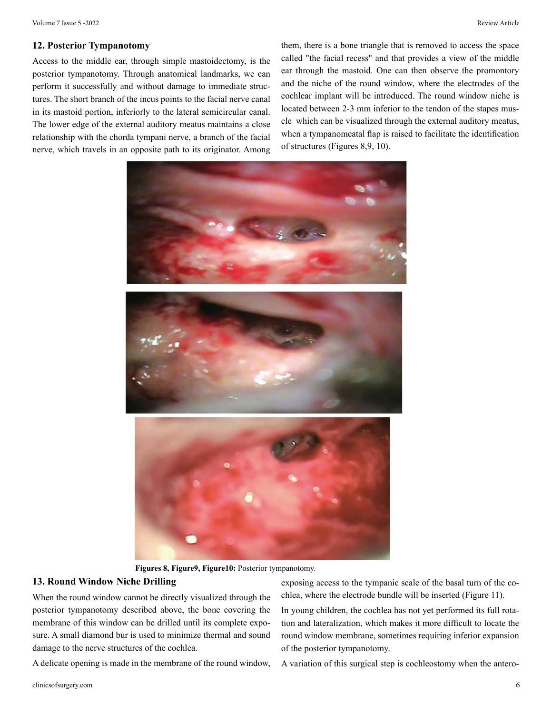#### **12. Posterior Tympanotomy**

Access to the middle ear, through simple mastoidectomy, is the posterior tympanotomy. Through anatomical landmarks, we can perform it successfully and without damage to immediate structures. The short branch of the incus points to the facial nerve canal in its mastoid portion, inferiorly to the lateral semicircular canal. The lower edge of the external auditory meatus maintains a close relationship with the chorda tympani nerve, a branch of the facial nerve, which travels in an opposite path to its originator. Among

them, there is a bone triangle that is removed to access the space called "the facial recess" and that provides a view of the middle ear through the mastoid. One can then observe the promontory and the niche of the round window, where the electrodes of the cochlear implant will be introduced. The round window niche is located between 2-3 mm inferior to the tendon of the stapes muscle which can be visualized through the external auditory meatus, when a tympanomeatal flap is raised to facilitate the identification of structures (Figures 8,9, 10).



**Figures 8, Figure9, Figure10:** Posterior tympanotomy.

#### **13. Round Window Niche Drilling**

When the round window cannot be directly visualized through the posterior tympanotomy described above, the bone covering the membrane of this window can be drilled until its complete exposure. A small diamond bur is used to minimize thermal and sound damage to the nerve structures of the cochlea.

A delicate opening is made in the membrane of the round window,

exposing access to the tympanic scale of the basal turn of the cochlea, where the electrode bundle will be inserted (Figure 11).

In young children, the cochlea has not yet performed its full rotation and lateralization, which makes it more difficult to locate the round window membrane, sometimes requiring inferior expansion of the posterior tympanotomy.

A variation of this surgical step is cochleostomy when the antero-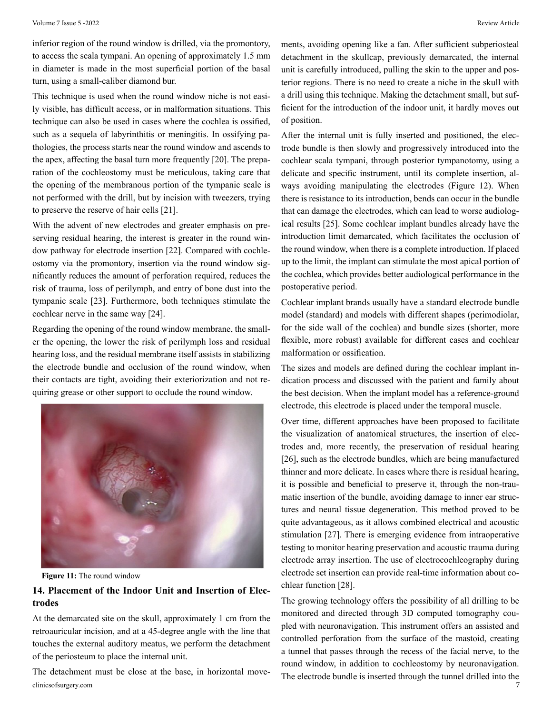inferior region of the round window is drilled, via the promontory, to access the scala tympani. An opening of approximately 1.5 mm in diameter is made in the most superficial portion of the basal turn, using a small-caliber diamond bur.

This technique is used when the round window niche is not easily visible, has difficult access, or in malformation situations. This technique can also be used in cases where the cochlea is ossified, such as a sequela of labyrinthitis or meningitis. In ossifying pathologies, the process starts near the round window and ascends to the apex, affecting the basal turn more frequently [20]. The preparation of the cochleostomy must be meticulous, taking care that the opening of the membranous portion of the tympanic scale is not performed with the drill, but by incision with tweezers, trying to preserve the reserve of hair cells [21].

With the advent of new electrodes and greater emphasis on preserving residual hearing, the interest is greater in the round window pathway for electrode insertion [22]. Compared with cochleostomy via the promontory, insertion via the round window significantly reduces the amount of perforation required, reduces the risk of trauma, loss of perilymph, and entry of bone dust into the tympanic scale [23]. Furthermore, both techniques stimulate the cochlear nerve in the same way [24].

Regarding the opening of the round window membrane, the smaller the opening, the lower the risk of perilymph loss and residual hearing loss, and the residual membrane itself assists in stabilizing the electrode bundle and occlusion of the round window, when their contacts are tight, avoiding their exteriorization and not requiring grease or other support to occlude the round window.



**Figure 11:** The round window

# **14. Placement of the Indoor Unit and Insertion of Electrodes**

At the demarcated site on the skull, approximately 1 cm from the retroauricular incision, and at a 45-degree angle with the line that touches the external auditory meatus, we perform the detachment of the periosteum to place the internal unit.

clinicsofsurgery.com 7 The detachment must be close at the base, in horizontal movements, avoiding opening like a fan. After sufficient subperiosteal detachment in the skullcap, previously demarcated, the internal unit is carefully introduced, pulling the skin to the upper and posterior regions. There is no need to create a niche in the skull with a drill using this technique. Making the detachment small, but sufficient for the introduction of the indoor unit, it hardly moves out of position.

After the internal unit is fully inserted and positioned, the electrode bundle is then slowly and progressively introduced into the cochlear scala tympani, through posterior tympanotomy, using a delicate and specific instrument, until its complete insertion, always avoiding manipulating the electrodes (Figure 12). When there is resistance to its introduction, bends can occur in the bundle that can damage the electrodes, which can lead to worse audiological results [25]. Some cochlear implant bundles already have the introduction limit demarcated, which facilitates the occlusion of the round window, when there is a complete introduction. If placed up to the limit, the implant can stimulate the most apical portion of the cochlea, which provides better audiological performance in the postoperative period.

Cochlear implant brands usually have a standard electrode bundle model (standard) and models with different shapes (perimodiolar, for the side wall of the cochlea) and bundle sizes (shorter, more flexible, more robust) available for different cases and cochlear malformation or ossification.

The sizes and models are defined during the cochlear implant indication process and discussed with the patient and family about the best decision. When the implant model has a reference-ground electrode, this electrode is placed under the temporal muscle.

Over time, different approaches have been proposed to facilitate the visualization of anatomical structures, the insertion of electrodes and, more recently, the preservation of residual hearing [26], such as the electrode bundles, which are being manufactured thinner and more delicate. In cases where there is residual hearing, it is possible and beneficial to preserve it, through the non-traumatic insertion of the bundle, avoiding damage to inner ear structures and neural tissue degeneration. This method proved to be quite advantageous, as it allows combined electrical and acoustic stimulation [27]. There is emerging evidence from intraoperative testing to monitor hearing preservation and acoustic trauma during electrode array insertion. The use of electrocochleography during electrode set insertion can provide real-time information about cochlear function [28].

The growing technology offers the possibility of all drilling to be monitored and directed through 3D computed tomography coupled with neuronavigation. This instrument offers an assisted and controlled perforation from the surface of the mastoid, creating a tunnel that passes through the recess of the facial nerve, to the round window, in addition to cochleostomy by neuronavigation. The electrode bundle is inserted through the tunnel drilled into the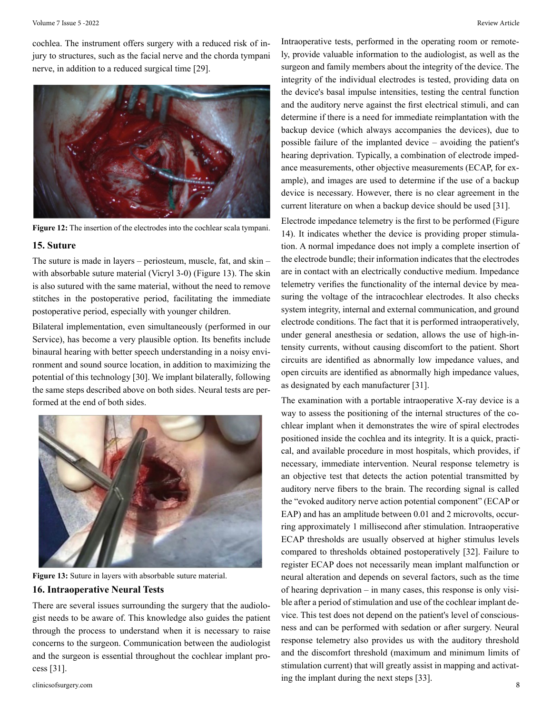cochlea. The instrument offers surgery with a reduced risk of injury to structures, such as the facial nerve and the chorda tympani nerve, in addition to a reduced surgical time [29].



**Figure 12:** The insertion of the electrodes into the cochlear scala tympani.

#### **15. Suture**

The suture is made in layers – periosteum, muscle, fat, and skin – with absorbable suture material (Vicryl 3-0) (Figure 13). The skin is also sutured with the same material, without the need to remove stitches in the postoperative period, facilitating the immediate postoperative period, especially with younger children.

Bilateral implementation, even simultaneously (performed in our Service), has become a very plausible option. Its benefits include binaural hearing with better speech understanding in a noisy environment and sound source location, in addition to maximizing the potential of this technology [30]. We implant bilaterally, following the same steps described above on both sides. Neural tests are performed at the end of both sides.



**Figure 13:** Suture in layers with absorbable suture material. **16. Intraoperative Neural Tests**

There are several issues surrounding the surgery that the audiologist needs to be aware of. This knowledge also guides the patient through the process to understand when it is necessary to raise concerns to the surgeon. Communication between the audiologist and the surgeon is essential throughout the cochlear implant process [31].

Intraoperative tests, performed in the operating room or remotely, provide valuable information to the audiologist, as well as the surgeon and family members about the integrity of the device. The integrity of the individual electrodes is tested, providing data on the device's basal impulse intensities, testing the central function and the auditory nerve against the first electrical stimuli, and can determine if there is a need for immediate reimplantation with the backup device (which always accompanies the devices), due to possible failure of the implanted device – avoiding the patient's hearing deprivation. Typically, a combination of electrode impedance measurements, other objective measurements (ECAP, for example), and images are used to determine if the use of a backup device is necessary. However, there is no clear agreement in the current literature on when a backup device should be used [31].

Electrode impedance telemetry is the first to be performed (Figure 14). It indicates whether the device is providing proper stimulation. A normal impedance does not imply a complete insertion of the electrode bundle; their information indicates that the electrodes are in contact with an electrically conductive medium. Impedance telemetry verifies the functionality of the internal device by measuring the voltage of the intracochlear electrodes. It also checks system integrity, internal and external communication, and ground electrode conditions. The fact that it is performed intraoperatively, under general anesthesia or sedation, allows the use of high-intensity currents, without causing discomfort to the patient. Short circuits are identified as abnormally low impedance values, and open circuits are identified as abnormally high impedance values, as designated by each manufacturer [31].

clinicsofsurgery.com 8 The examination with a portable intraoperative X-ray device is a way to assess the positioning of the internal structures of the cochlear implant when it demonstrates the wire of spiral electrodes positioned inside the cochlea and its integrity. It is a quick, practical, and available procedure in most hospitals, which provides, if necessary, immediate intervention. Neural response telemetry is an objective test that detects the action potential transmitted by auditory nerve fibers to the brain. The recording signal is called the "evoked auditory nerve action potential component" (ECAP or EAP) and has an amplitude between 0.01 and 2 microvolts, occurring approximately 1 millisecond after stimulation. Intraoperative ECAP thresholds are usually observed at higher stimulus levels compared to thresholds obtained postoperatively [32]. Failure to register ECAP does not necessarily mean implant malfunction or neural alteration and depends on several factors, such as the time of hearing deprivation – in many cases, this response is only visible after a period of stimulation and use of the cochlear implant device. This test does not depend on the patient's level of consciousness and can be performed with sedation or after surgery. Neural response telemetry also provides us with the auditory threshold and the discomfort threshold (maximum and minimum limits of stimulation current) that will greatly assist in mapping and activating the implant during the next steps [33].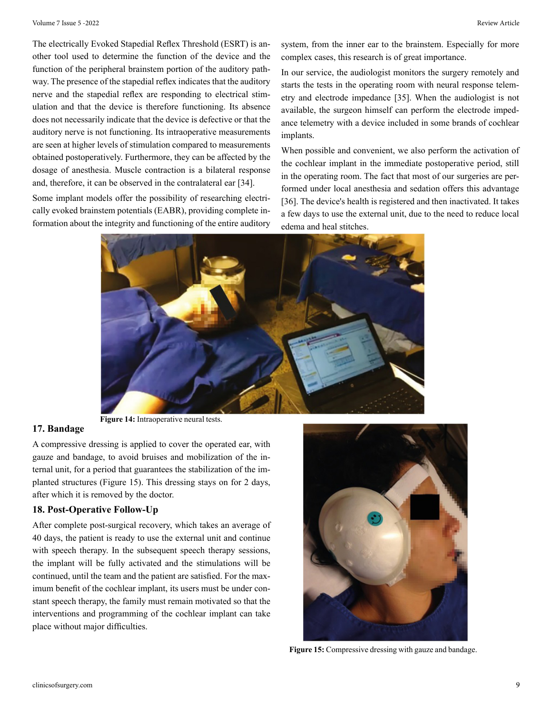The electrically Evoked Stapedial Reflex Threshold (ESRT) is another tool used to determine the function of the device and the function of the peripheral brainstem portion of the auditory pathway. The presence of the stapedial reflex indicates that the auditory nerve and the stapedial reflex are responding to electrical stimulation and that the device is therefore functioning. Its absence does not necessarily indicate that the device is defective or that the auditory nerve is not functioning. Its intraoperative measurements are seen at higher levels of stimulation compared to measurements obtained postoperatively. Furthermore, they can be affected by the dosage of anesthesia. Muscle contraction is a bilateral response and, therefore, it can be observed in the contralateral ear [34].

Some implant models offer the possibility of researching electrically evoked brainstem potentials (EABR), providing complete information about the integrity and functioning of the entire auditory

system, from the inner ear to the brainstem. Especially for more complex cases, this research is of great importance.

In our service, the audiologist monitors the surgery remotely and starts the tests in the operating room with neural response telemetry and electrode impedance [35]. When the audiologist is not available, the surgeon himself can perform the electrode impedance telemetry with a device included in some brands of cochlear implants.

When possible and convenient, we also perform the activation of the cochlear implant in the immediate postoperative period, still in the operating room. The fact that most of our surgeries are performed under local anesthesia and sedation offers this advantage [36]. The device's health is registered and then inactivated. It takes a few days to use the external unit, due to the need to reduce local edema and heal stitches.



## **17. Bandage**

A compressive dressing is applied to cover the operated ear, with gauze and bandage, to avoid bruises and mobilization of the internal unit, for a period that guarantees the stabilization of the implanted structures (Figure 15). This dressing stays on for 2 days, after which it is removed by the doctor.

#### **18. Post-Operative Follow-Up**

After complete post-surgical recovery, which takes an average of 40 days, the patient is ready to use the external unit and continue with speech therapy. In the subsequent speech therapy sessions, the implant will be fully activated and the stimulations will be continued, until the team and the patient are satisfied. For the maximum benefit of the cochlear implant, its users must be under constant speech therapy, the family must remain motivated so that the interventions and programming of the cochlear implant can take place without major difficulties.



**Figure 15:** Compressive dressing with gauze and bandage.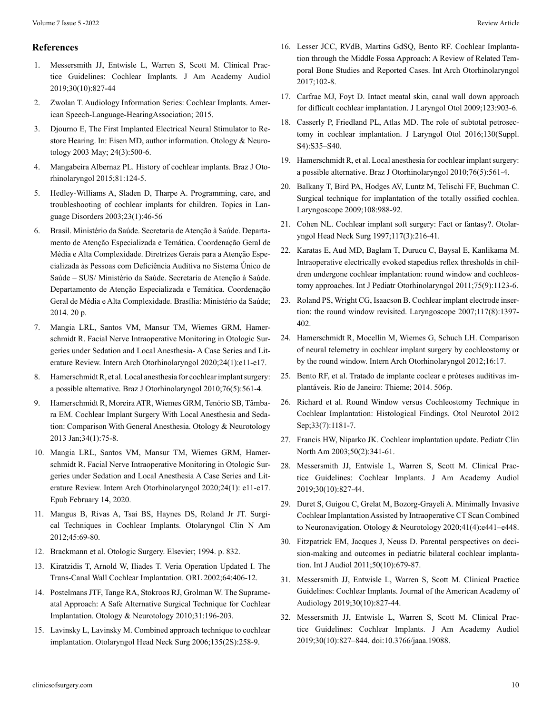#### **References**

- 1. Messersmith JJ, Entwisle L, Warren S, Scott M. Clinical Practice Guidelines: Cochlear Implants. J Am Academy Audiol 2019;30(10):827-44
- 2. Zwolan T. Audiology Information Series: Cochlear Implants. American Speech-Language-HearingAssociation; 2015.
- 3. Djourno E, The First Implanted Electrical Neural Stimulator to Restore Hearing. In: Eisen MD, author information. Otology & Neurotology 2003 May; 24(3):500-6.
- 4. Mangabeira Albernaz PL. History of cochlear implants. Braz J Otorhinolaryngol 2015;81:124-5.
- 5. Hedley-Williams A, Sladen D, Tharpe A. Programming, care, and troubleshooting of cochlear implants for children. Topics in Language Disorders 2003;23(1):46-56
- 6. Brasil. Ministério da Saúde. Secretaria de Atenção à Saúde. Departamento de Atenção Especializada e Temática. Coordenação Geral de Média e Alta Complexidade. Diretrizes Gerais para a Atenção Especializada às Pessoas com Deficiência Auditiva no Sistema Único de Saúde – SUS/ Ministério da Saúde. Secretaria de Atenção à Saúde. Departamento de Atenção Especializada e Temática. Coordenação Geral de Média e Alta Complexidade. Brasília: Ministério da Saúde; 2014. 20 p.
- 7. Mangia LRL, Santos VM, Mansur TM, Wiemes GRM, Hamerschmidt R. Facial Nerve Intraoperative Monitoring in Otologic Surgeries under Sedation and Local Anesthesia- A Case Series and Literature Review. Intern Arch Otorhinolaryngol 2020;24(1):e11-e17.
- 8. Hamerschmidt R, et al. Local anesthesia for cochlear implant surgery: a possible alternative. Braz J Otorhinolaryngol 2010;76(5):561-4.
- 9. Hamerschmidt R, Moreira ATR, Wiemes GRM, Tenório SB, Tâmbara EM. Cochlear Implant Surgery With Local Anesthesia and Sedation: Comparison With General Anesthesia. Otology & Neurotology 2013 Jan;34(1):75-8.
- 10. Mangia LRL, Santos VM, Mansur TM, Wiemes GRM, Hamerschmidt R. Facial Nerve Intraoperative Monitoring in Otologic Surgeries under Sedation and Local Anesthesia A Case Series and Literature Review. Intern Arch Otorhinolaryngol 2020;24(1): e11-e17. Epub February 14, 2020.
- 11. Mangus B, Rivas A, Tsai BS, Haynes DS, Roland Jr JT. Surgical Techniques in Cochlear Implants. Otolaryngol Clin N Am 2012;45:69-80.
- 12. Brackmann et al. Otologic Surgery. Elsevier; 1994. p. 832.
- 13. Kiratzidis T, Arnold W, Iliades T. Veria Operation Updated I. The Trans-Canal Wall Cochlear Implantation. ORL 2002;64:406-12.
- 14. Postelmans JTF, Tange RA, Stokroos RJ, Grolman W. The Suprameatal Approach: A Safe Alternative Surgical Technique for Cochlear Implantation. Otology & Neurotology 2010;31:196-203.
- 15. Lavinsky L, Lavinsky M. Combined approach technique to cochlear implantation. Otolaryngol Head Neck Surg 2006;135(2S):258-9.
- 16. Lesser JCC, RVdB, Martins GdSQ, Bento RF. Cochlear Implantation through the Middle Fossa Approach: A Review of Related Temporal Bone Studies and Reported Cases. Int Arch Otorhinolaryngol 2017;102-8.
- 17. Carfrae MJ, Foyt D. Intact meatal skin, canal wall down approach for difficult cochlear implantation. J Laryngol Otol 2009;123:903-6.
- 18. Casserly P, Friedland PL, Atlas MD. The role of subtotal petrosectomy in cochlear implantation. J Laryngol Otol 2016;130(Suppl. S4):S35–S40.
- 19. Hamerschmidt R, et al. Local anesthesia for cochlear implant surgery: a possible alternative. Braz J Otorhinolaryngol 2010;76(5):561-4.
- 20. Balkany T, Bird PA, Hodges AV, Luntz M, Telischi FF, Buchman C. Surgical technique for implantation of the totally ossified cochlea. Laryngoscope 2009;108:988-92.
- 21. Cohen NL. Cochlear implant soft surgery: Fact or fantasy?. Otolaryngol Head Neck Surg 1997;117(3):216-41.
- 22. Karatas E, Aud MD, Baglam T, Durucu C, Baysal E, Kanlikama M. Intraoperative electrically evoked stapedius reflex thresholds in children undergone cochlear implantation: round window and cochleostomy approaches. Int J Pediatr Otorhinolaryngol 2011;75(9):1123-6.
- 23. Roland PS, Wright CG, Isaacson B. Cochlear implant electrode insertion: the round window revisited. Laryngoscope 2007;117(8):1397- 402.
- 24. Hamerschmidt R, Mocellin M, Wiemes G, Schuch LH. Comparison of neural telemetry in cochlear implant surgery by cochleostomy or by the round window. Intern Arch Otorhinolaryngol 2012;16:17.
- 25. Bento RF, et al. Tratado de implante coclear e próteses auditivas implantáveis. Rio de Janeiro: Thieme; 2014. 506p.
- 26. Richard et al. Round Window versus Cochleostomy Technique in Cochlear Implantation: Histological Findings. Otol Neurotol 2012 Sep;33(7):1181-7.
- 27. Francis HW, Niparko JK. Cochlear implantation update. Pediatr Clin North Am 2003;50(2):341-61.
- 28. Messersmith JJ, Entwisle L, Warren S, Scott M. Clinical Practice Guidelines: Cochlear Implants. J Am Academy Audiol 2019;30(10):827-44.
- 29. Duret S, Guigou C, Grelat M, Bozorg-Grayeli A. Minimally Invasive Cochlear Implantation Assisted by Intraoperative CT Scan Combined to Neuronavigation. Otology & Neurotology 2020;41(4):e441–e448.
- 30. Fitzpatrick EM, Jacques J, Neuss D. Parental perspectives on decision-making and outcomes in pediatric bilateral cochlear implantation. Int J Audiol 2011;50(10):679-87.
- 31. Messersmith JJ, Entwisle L, Warren S, Scott M. Clinical Practice Guidelines: Cochlear Implants. Journal of the American Academy of Audiology 2019;30(10):827-44.
- 32. Messersmith JJ, Entwisle L, Warren S, Scott M. Clinical Practice Guidelines: Cochlear Implants. J Am Academy Audiol 2019;30(10):827–844. doi:10.3766/jaaa.19088.